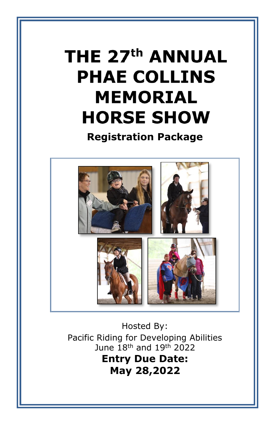# THE 27<sup>th</sup> ANNUAL **PHAE COLLINS MEMORIAL HORSE SHOW**

**Registration Package**



Hosted By: Pacific Riding for Developing Abilities June 18th and 19th 2022 **Entry Due Date: May 28,2022**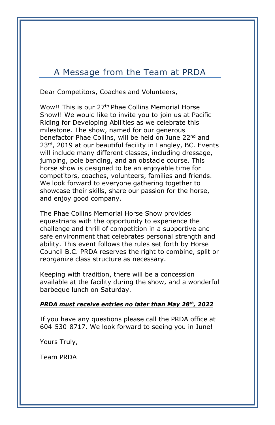### A Message from the Team at PRDA

Dear Competitors, Coaches and Volunteers,

Wow!! This is our 27<sup>th</sup> Phae Collins Memorial Horse Show!! We would like to invite you to join us at Pacific Riding for Developing Abilities as we celebrate this milestone. The show, named for our generous benefactor Phae Collins, will be held on June 22<sup>nd</sup> and 23<sup>rd</sup>, 2019 at our beautiful facility in Langley, BC. Events will include many different classes, including dressage, jumping, pole bending, and an obstacle course. This horse show is designed to be an enjoyable time for competitors, coaches, volunteers, families and friends. We look forward to everyone gathering together to showcase their skills, share our passion for the horse, and enjoy good company.

The Phae Collins Memorial Horse Show provides equestrians with the opportunity to experience the challenge and thrill of competition in a supportive and safe environment that celebrates personal strength and ability. This event follows the rules set forth by Horse Council B.C. PRDA reserves the right to combine, split or reorganize class structure as necessary.

Keeping with tradition, there will be a concession available at the facility during the show, and a wonderful barbeque lunch on Saturday.

### *PRDA must receive entries no later than May 28th, 2022*

If you have any questions please call the PRDA office at 604-530-8717. We look forward to seeing you in June!

Yours Truly,

Team PRDA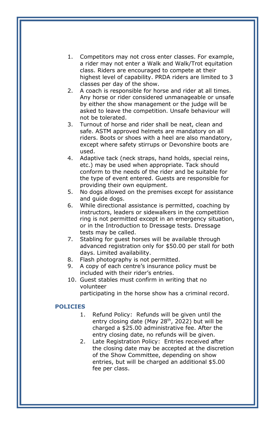- 1. Competitors may not cross enter classes. For example, a rider may not enter a Walk and Walk/Trot equitation class. Riders are encouraged to compete at their highest level of capability. PRDA riders are limited to 3 classes per day of the show.
- 2. A coach is responsible for horse and rider at all times. Any horse or rider considered unmanageable or unsafe by either the show management or the judge will be asked to leave the competition. Unsafe behaviour will not be tolerated.
- 3. Turnout of horse and rider shall be neat, clean and safe. ASTM approved helmets are mandatory on all riders. Boots or shoes with a heel are also mandatory, except where safety stirrups or Devonshire boots are used.
- 4. Adaptive tack (neck straps, hand holds, special reins, etc.) may be used when appropriate. Tack should conform to the needs of the rider and be suitable for the type of event entered. Guests are responsible for providing their own equipment.
- 5. No dogs allowed on the premises except for assistance and guide dogs.
- 6. While directional assistance is permitted, coaching by instructors, leaders or sidewalkers in the competition ring is not permitted except in an emergency situation, or in the Introduction to Dressage tests. Dressage tests may be called.
- 7. Stabling for guest horses will be available through advanced registration only for \$50.00 per stall for both days. Limited availability.
- 8. Flash photography is not permitted.
- 9. A copy of each centre's insurance policy must be included with their rider's entries.
- 10. Guest stables must confirm in writing that no volunteer

participating in the horse show has a criminal record.

#### **POLICIES**

- 1. Refund Policy: Refunds will be given until the entry closing date (May  $28<sup>th</sup>$ , 2022) but will be charged a \$25.00 administrative fee. After the entry closing date, no refunds will be given.
- 2. Late Registration Policy: Entries received after the closing date may be accepted at the discretion of the Show Committee, depending on show entries, but will be charged an additional \$5.00 fee per class.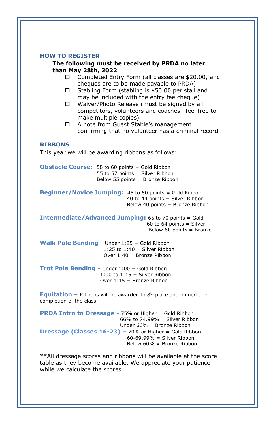#### **HOW TO REGISTER**

#### **The following must be received by PRDA no later than May 28th, 2022**

- □ Completed Entry Form (all classes are \$20.00, and cheques are to be made payable to PRDA)
- $\Box$  Stabling Form (stabling is \$50.00 per stall and may be included with the entry fee cheque)
- $\Box$  Waiver/Photo Release (must be signed by all competitors, volunteers and coaches—feel free to make multiple copies)
- □ A note from Guest Stable's management confirming that no volunteer has a criminal record

#### **RIBBONS**

This year we will be awarding ribbons as follows:

**Obstacle Course:** 58 to 60 points = Gold Ribbon 55 to 57 points = Silver Ribbon Below 55 points = Bronze Ribbon

**Beginner/Novice Jumping:** 45 to 50 points = Gold Ribbon 40 to 44 points = Silver Ribbon Below 40 points = Bronze Ribbon

**Intermediate/Advanced Jumping:** 65 to 70 points = Gold 60 to 64 points  $=$  Silver Below 60 points = Bronze

**Walk Pole Bending -** Under 1:25 = Gold Ribbon 1:25 to  $1:40 =$  Silver Ribbon Over 1:40 = Bronze Ribbon

**Trot Pole Bending -** Under 1:00 = Gold Ribbon  $1:00$  to  $1:15 =$  Silver Ribbon Over 1:15 = Bronze Ribbon

**Equitation –** Ribbons will be awarded to 8<sup>th</sup> place and pinned upon completion of the class

**PRDA Intro to Dressage - 75% or Higher = Gold Ribbon**  66% to 74.99% = Silver Ribbon Under 66% = Bronze Ribbon **Dressage (Classes 16-23) –** 70% or Higher = Gold Ribbon  $60-69.99\%$  = Silver Ribbon Below 60% = Bronze Ribbon

\*\*All dressage scores and ribbons will be available at the score table as they become available. We appreciate your patience while we calculate the scores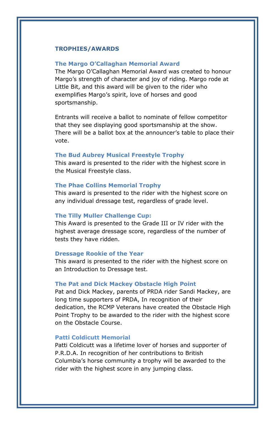#### **TROPHIES/AWARDS**

#### **The Margo O'Callaghan Memorial Award**

The Margo O'Callaghan Memorial Award was created to honour Margo's strength of character and joy of riding. Margo rode at Little Bit, and this award will be given to the rider who exemplifies Margo's spirit, love of horses and good sportsmanship.

Entrants will receive a ballot to nominate of fellow competitor that they see displaying good sportsmanship at the show. There will be a ballot box at the announcer's table to place their vote.

#### **The Bud Aubrey Musical Freestyle Trophy**

This award is presented to the rider with the highest score in the Musical Freestyle class.

#### **The Phae Collins Memorial Trophy**

This award is presented to the rider with the highest score on any individual dressage test, regardless of grade level.

#### **The Tilly Muller Challenge Cup:**

This Award is presented to the Grade III or IV rider with the highest average dressage score, regardless of the number of tests they have ridden.

#### **Dressage Rookie of the Year**

This award is presented to the rider with the highest score on an Introduction to Dressage test.

#### **The Pat and Dick Mackey Obstacle High Point**

Pat and Dick Mackey, parents of PRDA rider Sandi Mackey, are long time supporters of PRDA, In recognition of their dedication, the RCMP Veterans have created the Obstacle High Point Trophy to be awarded to the rider with the highest score on the Obstacle Course.

#### **Patti Coldicutt Memorial**

Patti Coldicutt was a lifetime lover of horses and supporter of P.R.D.A. In recognition of her contributions to British Columbia's horse community a trophy will be awarded to the rider with the highest score in any jumping class.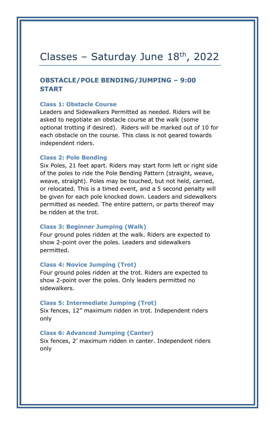### Classes - Saturday June  $18<sup>th</sup>$ , 2022

### **OBSTACLE/POLE BENDING/JUMPING – 9:00 START**

#### **Class 1: Obstacle Course**

Leaders and Sidewalkers Permitted as needed. Riders will be asked to negotiate an obstacle course at the walk (some optional trotting if desired). Riders will be marked out of 10 for each obstacle on the course. This class is not geared towards independent riders.

#### **Class 2: Pole Bending**

Six Poles, 21 feet apart. Riders may start form left or right side of the poles to ride the Pole Bending Pattern (straight, weave, weave, straight). Poles may be touched, but not held, carried, or relocated. This is a timed event, and a 5 second penalty will be given for each pole knocked down. Leaders and sidewalkers permitted as needed. The entire pattern, or parts thereof may be ridden at the trot.

#### **Class 3: Beginner Jumping (Walk)**

Four ground poles ridden at the walk. Riders are expected to show 2-point over the poles. Leaders and sidewalkers permitted.

#### **Class 4: Novice Jumping (Trot)**

Four ground poles ridden at the trot. Riders are expected to show 2-point over the poles. Only leaders permitted no sidewalkers.

#### **Class 5: Intermediate Jumping (Trot)**

Six fences, 12" maximum ridden in trot. Independent riders only

#### **Class 6: Advanced Jumping (Canter)**

Six fences, 2' maximum ridden in canter. Independent riders only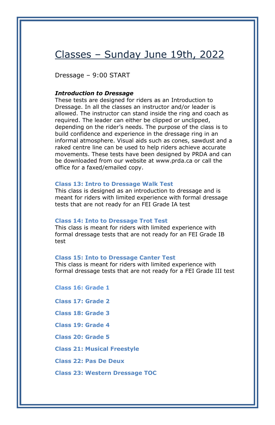### Classes – Sunday June 19th, 2022

Dressage – 9:00 START

#### *Introduction to Dressage*

These tests are designed for riders as an Introduction to Dressage. In all the classes an instructor and/or leader is allowed. The instructor can stand inside the ring and coach as required. The leader can either be clipped or unclipped, depending on the rider's needs. The purpose of the class is to build confidence and experience in the dressage ring in an informal atmosphere. Visual aids such as cones, sawdust and a raked centre line can be used to help riders achieve accurate movements. These tests have been designed by PRDA and can be downloaded from our website at www.prda.ca or call the office for a faxed/emailed copy.

#### **Class 13: Intro to Dressage Walk Test**

This class is designed as an introduction to dressage and is meant for riders with limited experience with formal dressage tests that are not ready for an FEI Grade IA test

#### **Class 14: Into to Dressage Trot Test**

This class is meant for riders with limited experience with formal dressage tests that are not ready for an FEI Grade IB test

#### **Class 15: Into to Dressage Canter Test**

This class is meant for riders with limited experience with formal dressage tests that are not ready for a FEI Grade III test

**Class 16: Grade 1** 

**Class 17: Grade 2**

**Class 18: Grade 3**

**Class 19: Grade 4**

**Class 20: Grade 5**

**Class 21: Musical Freestyle**

**Class 22: Pas De Deux**

**Class 23: Western Dressage TOC**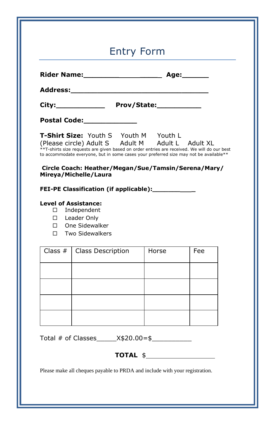| <b>Entry Form</b> |                                                                                                                                                                                                                                                                                                                                                                                                                                                                         |  |                                       |            |  |  |  |
|-------------------|-------------------------------------------------------------------------------------------------------------------------------------------------------------------------------------------------------------------------------------------------------------------------------------------------------------------------------------------------------------------------------------------------------------------------------------------------------------------------|--|---------------------------------------|------------|--|--|--|
|                   |                                                                                                                                                                                                                                                                                                                                                                                                                                                                         |  |                                       |            |  |  |  |
|                   |                                                                                                                                                                                                                                                                                                                                                                                                                                                                         |  |                                       |            |  |  |  |
|                   |                                                                                                                                                                                                                                                                                                                                                                                                                                                                         |  |                                       |            |  |  |  |
|                   | Postal Code:_______________                                                                                                                                                                                                                                                                                                                                                                                                                                             |  |                                       |            |  |  |  |
|                   |                                                                                                                                                                                                                                                                                                                                                                                                                                                                         |  | T-Shirt Size: Youth S Youth M Youth L |            |  |  |  |
|                   | (Please circle) Adult S Adult M Adult L Adult XL<br>**T-shirts size requests are given based on order entries are received. We will do our best<br>to accommodate everyone, but in some cases your preferred size may not be available**<br>Circle Coach: Heather/Megan/Sue/Tamsin/Serena/Mary/<br>Mireya/Michelle/Laura<br>FEI-PE Classification (if applicable):___________<br><b>Level of Assistance:</b><br>$\Box$ Independent<br>□ Leader Only<br>□ One Sidewalker |  |                                       |            |  |  |  |
|                   | □ Two Sidewalkers<br>Class $#$ Class Description                                                                                                                                                                                                                                                                                                                                                                                                                        |  | Horse                                 | <b>Fee</b> |  |  |  |
|                   |                                                                                                                                                                                                                                                                                                                                                                                                                                                                         |  |                                       |            |  |  |  |
|                   |                                                                                                                                                                                                                                                                                                                                                                                                                                                                         |  |                                       |            |  |  |  |
|                   |                                                                                                                                                                                                                                                                                                                                                                                                                                                                         |  |                                       |            |  |  |  |

Please make all cheques payable to PRDA and include with your registration.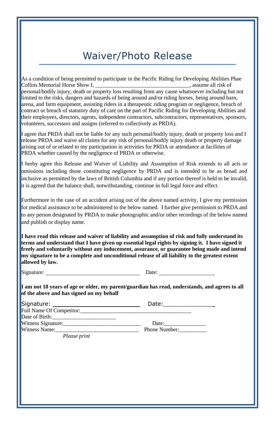# Waiver/Photo Release

As a condition of being permitted to participate in the Pacific Riding for Developing Abilities Phae Collins Memorial Horse Show I, \_\_\_\_\_\_\_\_\_\_\_\_\_\_\_\_\_\_\_\_\_\_\_\_\_\_\_\_\_\_\_\_\_\_, assume all risk of personal/bodily injury, death or property loss resulting from any cause whatsoever including but not limited to the risks, dangers and hazards of being around and/or riding horses, being around barn, arena, and farm equipment, assisting riders in a therapeutic riding program or negligence, breach of contract or breach of statutory duty of care on the part of Pacific Riding for Developing Abilities and their employees, directors, agents, independent contractors, subcontractors, representatives, sponsors, volunteers, successors and assigns (referred to collectively as PRDA).

I agree that PRDA shall not be liable for any such personal/bodily injury, death or property loss and I release PRDA and waive all claims for any risk of personal/bodily injury death or property damage arising out of or related to my participation in activities for PRDA or attendance at facilities of PRDA whether caused by the negligence of PRDA or otherwise.

I herby agree this Release and Waiver of Liability and Assumption of Risk extends to all acts or omissions including those constituting negligence by PRDA and is intended to be as broad and inclusive as permitted by the laws of British Columbia and if any portion thereof is held to be invalid, it is agreed that the balance shall, notwithstanding, continue in full legal force and effect.

Furthermore in the case of an accident arising out of the above named activity, I give my permission for medical assistance to be administered to the below named. I further give permission to PRDA and to any person designated by PRDA to make photographic and/or other recordings of the below named and publish or display name.

**I have read this release and waiver of liability and assumption of risk and fully understand its terms and understand that I have given up essential legal rights by signing it. I have signed it freely and voluntarily without any inducement, assurance, or guarantee being made and intend my signature to be a complete and unconditional release of all liability to the greatest extent allowed by law.**

Signature: Date:

**I am not 18 years of age or older, my parent/guardian has read, understands, and agrees to all of the above and has signed on my behalf**

|                     | Date:         |
|---------------------|---------------|
|                     |               |
| Date of Birth: 2008 |               |
| Witness Signature:  | Date:         |
| Witness Name:       | Phone Number: |
| D <sub>base</sub>   |               |

 *Please print*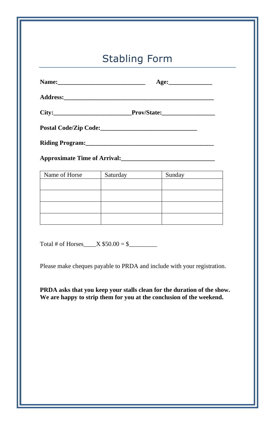# Stabling Form

|                                                                                                               |          | Age:   |  |  |  |  |  |
|---------------------------------------------------------------------------------------------------------------|----------|--------|--|--|--|--|--|
|                                                                                                               |          |        |  |  |  |  |  |
|                                                                                                               |          |        |  |  |  |  |  |
|                                                                                                               |          |        |  |  |  |  |  |
| Riding Program: 1988 and 2008 and 2010 and 2010 and 2010 and 2010 and 2010 and 2010 and 2010 and 2010 and 201 |          |        |  |  |  |  |  |
|                                                                                                               |          |        |  |  |  |  |  |
| Name of Horse 1                                                                                               | Saturday | Sunday |  |  |  |  |  |
|                                                                                                               |          |        |  |  |  |  |  |
|                                                                                                               |          |        |  |  |  |  |  |
|                                                                                                               |          |        |  |  |  |  |  |
|                                                                                                               |          |        |  |  |  |  |  |
|                                                                                                               |          |        |  |  |  |  |  |

Total # of Horses\_\_\_\_X \$50.00 = \$\_\_\_\_\_\_\_\_\_

Please make cheques payable to PRDA and include with your registration.

**PRDA asks that you keep your stalls clean for the duration of the show. We are happy to strip them for you at the conclusion of the weekend.**